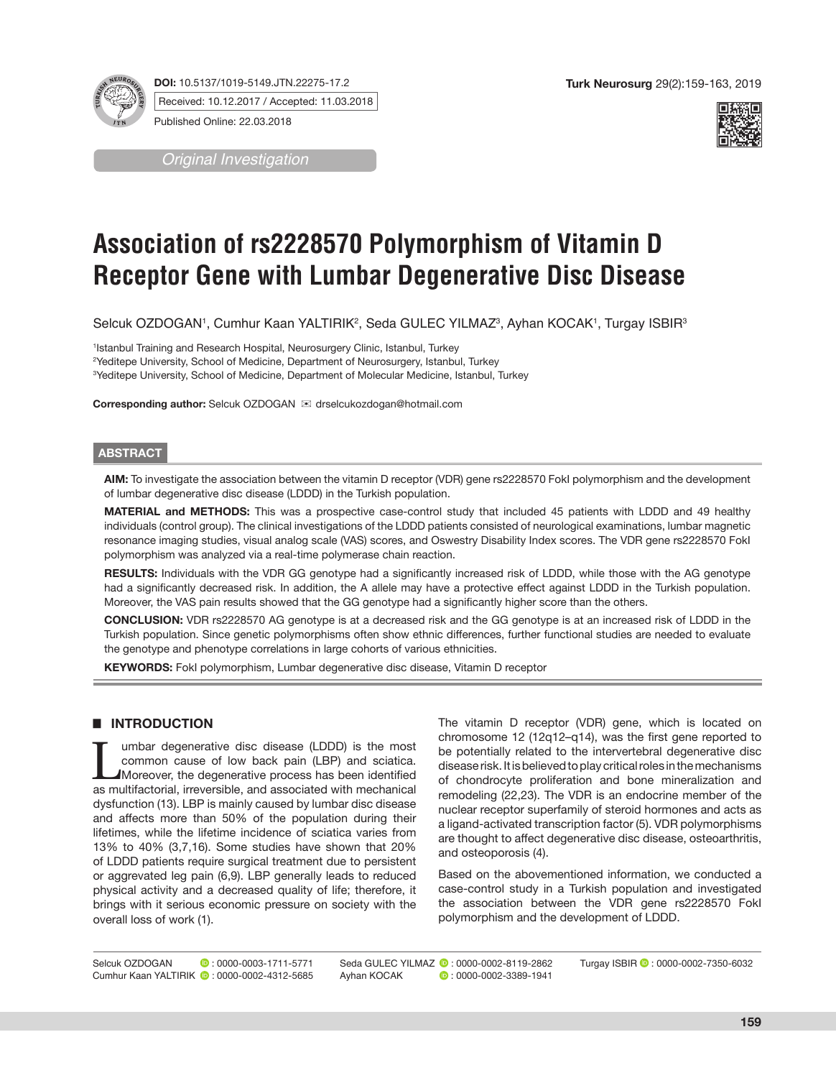**DOI:** 10.5137/1019-5149.JTN.22275-17.2



Published Online: 22.03.2018

*Original Investigation*



# **Association of rs2228570 Polymorphism of Vitamin D Receptor Gene with Lumbar Degenerative Disc Disease**

Selcuk OZDOGAN', Cumhur Kaan YALTIRIK<sup>2</sup>, Seda GULEC YILMAZ<sup>3</sup>, Ayhan KOCAK', Turgay ISBIR<sup>3</sup>

1 Istanbul Training and Research Hospital, Neurosurgery Clinic, Istanbul, Turkey <sup>2</sup>Yeditepe University, School of Medicine, Department of Neurosurgery, Istanbul, Turkey 3 Yeditepe University, School of Medicine, Department of Molecular Medicine, Istanbul, Turkey

**Corresponding author:** Selcuk OZDOGAN  $⊠$  drselcukozdogan@hotmail.com

### **ABSTRACT**

**AIM:** To investigate the association between the vitamin D receptor (VDR) gene rs2228570 FokI polymorphism and the development of lumbar degenerative disc disease (LDDD) in the Turkish population.

**MATERIAL and METHODS:** This was a prospective case-control study that included 45 patients with LDDD and 49 healthy individuals (control group). The clinical investigations of the LDDD patients consisted of neurological examinations, lumbar magnetic resonance imaging studies, visual analog scale (VAS) scores, and Oswestry Disability Index scores. The VDR gene rs2228570 FokI polymorphism was analyzed via a real-time polymerase chain reaction.

**RESULTS:** Individuals with the VDR GG genotype had a significantly increased risk of LDDD, while those with the AG genotype had a significantly decreased risk. In addition, the A allele may have a protective effect against LDDD in the Turkish population. Moreover, the VAS pain results showed that the GG genotype had a significantly higher score than the others.

**CONCLUSION:** VDR rs2228570 AG genotype is at a decreased risk and the GG genotype is at an increased risk of LDDD in the Turkish population. Since genetic polymorphisms often show ethnic differences, further functional studies are needed to evaluate the genotype and phenotype correlations in large cohorts of various ethnicities.

**KEYWORDS:** FokI polymorphism, Lumbar degenerative disc disease, Vitamin D receptor

# █ **INTRODUCTION**

Lumbar degenerative disc disease (LDDD) is the most<br>
common cause of low back pain (LBP) and sciatica.<br>
Moreover, the degenerative process has been identified<br>
as multifactorial irreversible and associated with mechanical common cause of low back pain (LBP) and sciatica. as multifactorial, irreversible, and associated with mechanical dysfunction (13). LBP is mainly caused by lumbar disc disease and affects more than 50% of the population during their lifetimes, while the lifetime incidence of sciatica varies from 13% to 40% (3,7,16). Some studies have shown that 20% of LDDD patients require surgical treatment due to persistent or aggrevated leg pain (6,9). LBP generally leads to reduced physical activity and a decreased quality of life; therefore, it brings with it serious economic pressure on society with the overall loss of work (1).

The vitamin D receptor (VDR) gene, which is located on chromosome 12 (12q12–q14), was the first gene reported to be potentially related to the intervertebral degenerative disc disease risk. It is believed to play critical roles in the mechanisms of chondrocyte proliferation and bone mineralization and remodeling (22,23). The VDR is an endocrine member of the nuclear receptor superfamily of steroid hormones and acts as a ligand-activated transcription factor (5). VDR polymorphisms are thought to affect degenerative disc disease, osteoarthritis, and osteoporosis (4).

Based on the abovementioned information, we conducted a case-control study in a Turkish population and investigated the association between the VDR gene rs2228570 FokI polymorphism and the development of LDDD.

Selcuk OZDOGAN **:** 0000-0003-1711-5771 Cumhur Kaan YALTIRIK **:** 0000-0002-4312-5685

Seda GULEC YILMAZ (2:0000-0002-8119-2862)<br>Ayhan KOCAK (2:0000-0002-3389-1941)  $\bullet$  : 0000-0002-3389-1941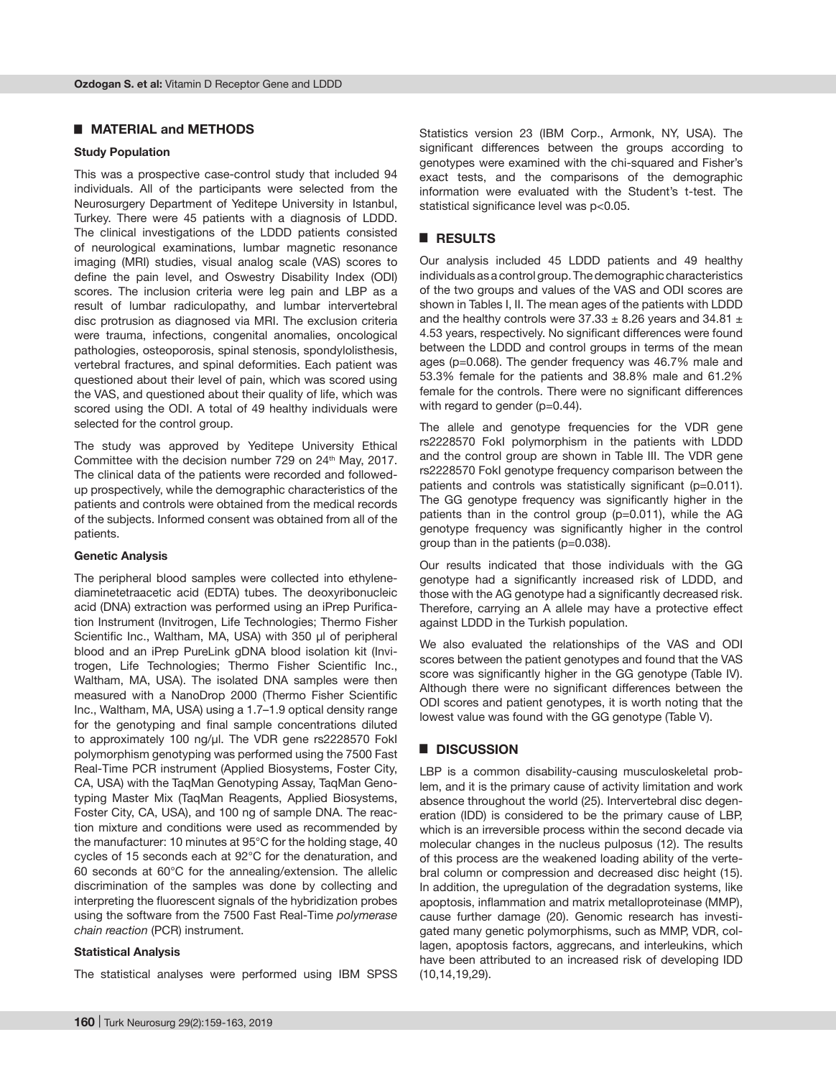## █ **MATERIAL and METHODS**

#### **Study Population**

This was a prospective case-control study that included 94 individuals. All of the participants were selected from the Neurosurgery Department of Yeditepe University in Istanbul, Turkey. There were 45 patients with a diagnosis of LDDD. The clinical investigations of the LDDD patients consisted of neurological examinations, lumbar magnetic resonance imaging (MRI) studies, visual analog scale (VAS) scores to define the pain level, and Oswestry Disability Index (ODI) scores. The inclusion criteria were leg pain and LBP as a result of lumbar radiculopathy, and lumbar intervertebral disc protrusion as diagnosed via MRI. The exclusion criteria were trauma, infections, congenital anomalies, oncological pathologies, osteoporosis, spinal stenosis, spondylolisthesis, vertebral fractures, and spinal deformities. Each patient was questioned about their level of pain, which was scored using the VAS, and questioned about their quality of life, which was scored using the ODI. A total of 49 healthy individuals were selected for the control group.

The study was approved by Yeditepe University Ethical Committee with the decision number 729 on 24<sup>th</sup> May, 2017. The clinical data of the patients were recorded and followedup prospectively, while the demographic characteristics of the patients and controls were obtained from the medical records of the subjects. Informed consent was obtained from all of the patients.

#### **Genetic Analysis**

The peripheral blood samples were collected into ethylenediaminetetraacetic acid (EDTA) tubes. The deoxyribonucleic acid (DNA) extraction was performed using an iPrep Purification Instrument (Invitrogen, Life Technologies; Thermo Fisher Scientific Inc., Waltham, MA, USA) with 350 µl of peripheral blood and an iPrep PureLink gDNA blood isolation kit (Invitrogen, Life Technologies; Thermo Fisher Scientific Inc., Waltham, MA, USA). The isolated DNA samples were then measured with a NanoDrop 2000 (Thermo Fisher Scientific Inc., Waltham, MA, USA) using a 1.7–1.9 optical density range for the genotyping and final sample concentrations diluted to approximately 100 ng/µl. The VDR gene rs2228570 FokI polymorphism genotyping was performed using the 7500 Fast Real-Time PCR instrument (Applied Biosystems, Foster City, CA, USA) with the TaqMan Genotyping Assay, TaqMan Genotyping Master Mix (TaqMan Reagents, Applied Biosystems, Foster City, CA, USA), and 100 ng of sample DNA. The reaction mixture and conditions were used as recommended by the manufacturer: 10 minutes at 95°C for the holding stage, 40 cycles of 15 seconds each at 92°C for the denaturation, and 60 seconds at 60°C for the annealing/extension. The allelic discrimination of the samples was done by collecting and interpreting the fluorescent signals of the hybridization probes using the software from the 7500 Fast Real-Time *polymerase chain reaction* (PCR) instrument.

#### **Statistical Analysis**

The statistical analyses were performed using IBM SPSS

Statistics version 23 (IBM Corp., Armonk, NY, USA). The significant differences between the groups according to genotypes were examined with the chi-squared and Fisher's exact tests, and the comparisons of the demographic information were evaluated with the Student's t-test. The statistical significance level was p<0.05.

## █ **RESULTS**

Our analysis included 45 LDDD patients and 49 healthy individuals as a control group. The demographic characteristics of the two groups and values of the VAS and ODI scores are shown in Tables I, II. The mean ages of the patients with LDDD and the healthy controls were  $37.33 \pm 8.26$  years and  $34.81 \pm$ 4.53 years, respectively. No significant differences were found between the LDDD and control groups in terms of the mean ages (p=0.068). The gender frequency was 46.7% male and 53.3% female for the patients and 38.8% male and 61.2% female for the controls. There were no significant differences with regard to gender (p=0.44).

The allele and genotype frequencies for the VDR gene rs2228570 FokI polymorphism in the patients with LDDD and the control group are shown in Table III. The VDR gene rs2228570 FokI genotype frequency comparison between the patients and controls was statistically significant (p=0.011). The GG genotype frequency was significantly higher in the patients than in the control group (p=0.011), while the AG genotype frequency was significantly higher in the control group than in the patients (p=0.038).

Our results indicated that those individuals with the GG genotype had a significantly increased risk of LDDD, and those with the AG genotype had a significantly decreased risk. Therefore, carrying an A allele may have a protective effect against LDDD in the Turkish population.

We also evaluated the relationships of the VAS and ODI scores between the patient genotypes and found that the VAS score was significantly higher in the GG genotype (Table IV). Although there were no significant differences between the ODI scores and patient genotypes, it is worth noting that the lowest value was found with the GG genotype (Table V).

## █ **DISCUSSION**

LBP is a common disability-causing musculoskeletal problem, and it is the primary cause of activity limitation and work absence throughout the world (25). Intervertebral disc degeneration (IDD) is considered to be the primary cause of LBP, which is an irreversible process within the second decade via molecular changes in the nucleus pulposus (12). The results of this process are the weakened loading ability of the vertebral column or compression and decreased disc height (15). In addition, the upregulation of the degradation systems, like apoptosis, inflammation and matrix metalloproteinase (MMP), cause further damage (20). Genomic research has investigated many genetic polymorphisms, such as MMP, VDR, collagen, apoptosis factors, aggrecans, and interleukins, which have been attributed to an increased risk of developing IDD (10,14,19,29).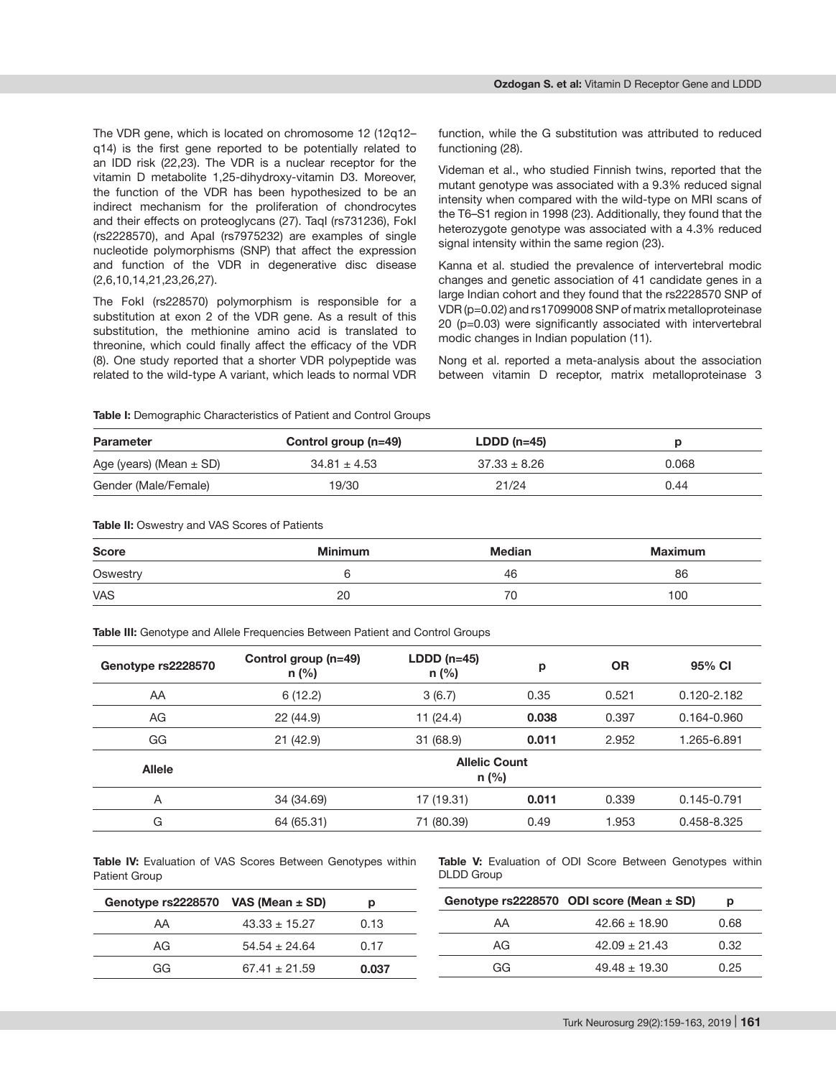The VDR gene, which is located on chromosome 12 (12q12– q14) is the first gene reported to be potentially related to an IDD risk (22,23). The VDR is a nuclear receptor for the vitamin D metabolite 1,25-dihydroxy-vitamin D3. Moreover, the function of the VDR has been hypothesized to be an indirect mechanism for the proliferation of chondrocytes and their effects on proteoglycans (27). TaqI (rs731236), FokI (rs2228570), and ApaI (rs7975232) are examples of single nucleotide polymorphisms (SNP) that affect the expression and function of the VDR in degenerative disc disease (2,6,10,14,21,23,26,27).

The FokI (rs228570) polymorphism is responsible for a substitution at exon 2 of the VDR gene. As a result of this substitution, the methionine amino acid is translated to threonine, which could finally affect the efficacy of the VDR (8). One study reported that a shorter VDR polypeptide was related to the wild-type A variant, which leads to normal VDR

function, while the G substitution was attributed to reduced functioning (28).

Videman et al., who studied Finnish twins, reported that the mutant genotype was associated with a 9.3% reduced signal intensity when compared with the wild-type on MRI scans of the T6–S1 region in 1998 (23). Additionally, they found that the heterozygote genotype was associated with a 4.3% reduced signal intensity within the same region (23).

Kanna et al. studied the prevalence of intervertebral modic changes and genetic association of 41 candidate genes in a large Indian cohort and they found that the rs2228570 SNP of VDR (p=0.02) and rs17099008 SNP of matrix metalloproteinase 20 (p=0.03) were significantly associated with intervertebral modic changes in Indian population (11).

Nong et al. reported a meta-analysis about the association between vitamin D receptor, matrix metalloproteinase 3

**Table I:** Demographic Characteristics of Patient and Control Groups

| <b>Parameter</b>            | Control group (n=49) | $LDDD(n=45)$     |       |
|-----------------------------|----------------------|------------------|-------|
| Age (years) (Mean $\pm$ SD) | $34.81 \pm 4.53$     | $37.33 \pm 8.26$ | 0.068 |
| Gender (Male/Female)        | 19/30                | 21/24            | 0.44  |

#### **Table II:** Oswestry and VAS Scores of Patients

| <b>Score</b><br>$\frac{1}{2} \left( \frac{1}{2} \right) \left( \frac{1}{2} \right) \left( \frac{1}{2} \right) \left( \frac{1}{2} \right) \left( \frac{1}{2} \right) \left( \frac{1}{2} \right) \left( \frac{1}{2} \right) \left( \frac{1}{2} \right) \left( \frac{1}{2} \right) \left( \frac{1}{2} \right) \left( \frac{1}{2} \right) \left( \frac{1}{2} \right) \left( \frac{1}{2} \right) \left( \frac{1}{2} \right) \left( \frac{1}{2} \right) \left( \frac{1}{2} \right) \left( \frac$ | <b>Minimum</b> | <b>Median</b> | Maximum |  |
|--------------------------------------------------------------------------------------------------------------------------------------------------------------------------------------------------------------------------------------------------------------------------------------------------------------------------------------------------------------------------------------------------------------------------------------------------------------------------------------------|----------------|---------------|---------|--|
| Oswestry<br>and the contract of the contract of                                                                                                                                                                                                                                                                                                                                                                                                                                            |                | 46            | 86      |  |
| <b>VAS</b>                                                                                                                                                                                                                                                                                                                                                                                                                                                                                 | 20             | 70            | 100     |  |

**Table III:** Genotype and Allele Frequencies Between Patient and Control Groups

| Genotype rs2228570 | Control group (n=49)<br>$n$ (%) | $LDDD(n=45)$<br>p<br>$n$ (%) |       | <b>OR</b> | 95% CI          |
|--------------------|---------------------------------|------------------------------|-------|-----------|-----------------|
| AA                 | 6(12.2)                         | 3(6.7)                       | 0.35  | 0.521     | $0.120 - 2.182$ |
| AG                 | 22 (44.9)                       | 11(24.4)<br>0.038            |       | 0.397     | 0.164-0.960     |
| GG                 | 21(42.9)                        | 31 (68.9)                    | 0.011 |           | 1.265-6.891     |
| <b>Allele</b>      | <b>Allelic Count</b><br>$n$ (%) |                              |       |           |                 |
| A                  | 34 (34.69)                      | 17 (19.31)                   | 0.011 | 0.339     | 0.145-0.791     |
| G                  | 64 (65.31)                      | 71 (80.39)                   | 0.49  | 1.953     | 0.458-8.325     |

**Table IV:** Evaluation of VAS Scores Between Genotypes within Patient Group

**Table V:** Evaluation of ODI Score Between Genotypes within DLDD Group

| Genotype $rs2228570$ VAS (Mean $\pm$ SD) |                   |       |    | Genotype rs2228570 ODI score (Mean $\pm$ SD) |      |
|------------------------------------------|-------------------|-------|----|----------------------------------------------|------|
| AA                                       | $43.33 + 15.27$   | 0.13  | AA | $42.66 \pm 18.90$                            | 0.68 |
| AG                                       | $54.54 \pm 24.64$ | በ 17  | AG | $42.09 \pm 21.43$                            | 0.32 |
| GG                                       | $67.41 \pm 21.59$ | 0.037 | GG | $49.48 \pm 19.30$                            | 0.25 |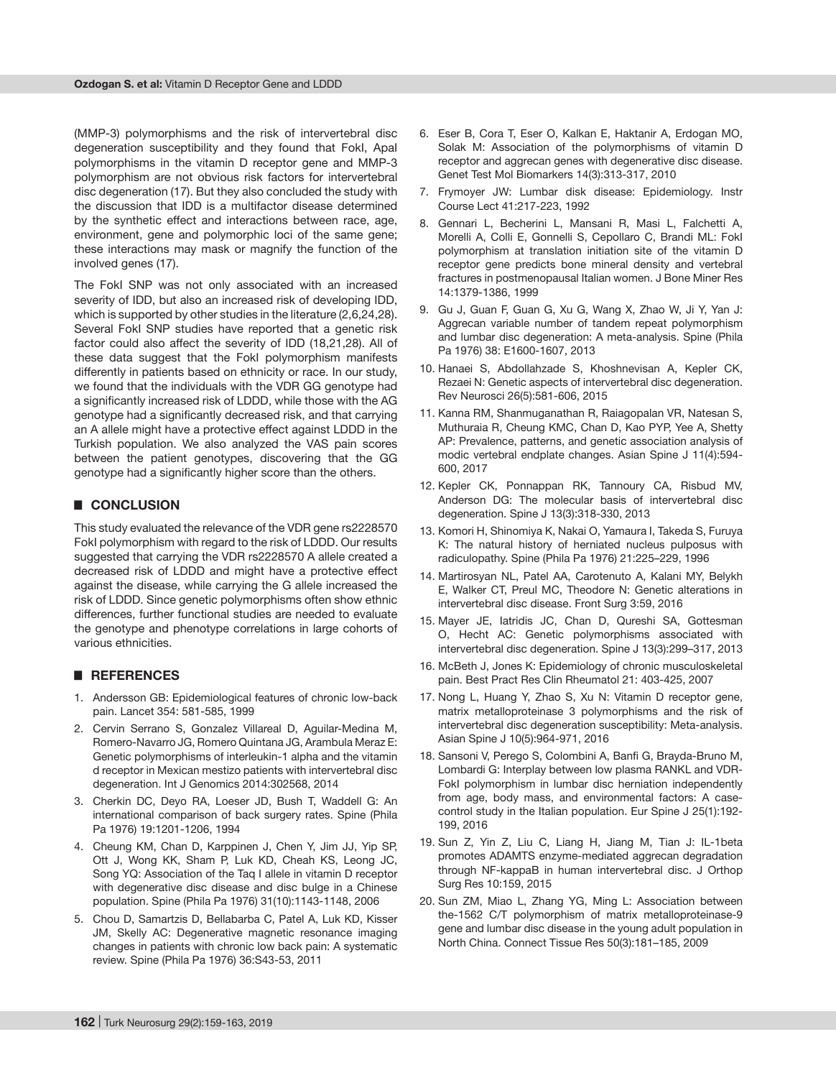(MMP-3) polymorphisms and the risk of intervertebral disc degeneration susceptibility and they found that FokI, ApaI polymorphisms in the vitamin D receptor gene and MMP-3 polymorphism are not obvious risk factors for intervertebral disc degeneration (17). But they also concluded the study with the discussion that IDD is a multifactor disease determined by the synthetic effect and interactions between race, age, environment, gene and polymorphic loci of the same gene; these interactions may mask or magnify the function of the involved genes (17).

The FokI SNP was not only associated with an increased severity of IDD, but also an increased risk of developing IDD, which is supported by other studies in the literature (2,6,24,28). Several FokI SNP studies have reported that a genetic risk factor could also affect the severity of IDD (18,21,28). All of these data suggest that the FokI polymorphism manifests differently in patients based on ethnicity or race. In our study, we found that the individuals with the VDR GG genotype had a significantly increased risk of LDDD, while those with the AG genotype had a significantly decreased risk, and that carrying an A allele might have a protective effect against LDDD in the Turkish population. We also analyzed the VAS pain scores between the patient genotypes, discovering that the GG genotype had a significantly higher score than the others.

## █ **CONCLUSION**

This study evaluated the relevance of the VDR gene rs2228570 FokI polymorphism with regard to the risk of LDDD. Our results suggested that carrying the VDR rs2228570 A allele created a decreased risk of LDDD and might have a protective effect against the disease, while carrying the G allele increased the risk of LDDD. Since genetic polymorphisms often show ethnic differences, further functional studies are needed to evaluate the genotype and phenotype correlations in large cohorts of various ethnicities.

### █ **REFERENCES**

- 1. Andersson GB: Epidemiological features of chronic low-back pain. Lancet 354: 581-585, 1999
- 2. Cervin Serrano S, Gonzalez Villareal D, Aguilar-Medina M, Romero-Navarro JG, Romero Quintana JG, Arambula Meraz E: Genetic polymorphisms of interleukin-1 alpha and the vitamin d receptor in Mexican mestizo patients with intervertebral disc degeneration. Int J Genomics 2014:302568, 2014
- 3. Cherkin DC, Deyo RA, Loeser JD, Bush T, Waddell G: An international comparison of back surgery rates. Spine (Phila Pa 1976) 19:1201-1206, 1994
- 4. Cheung KM, Chan D, Karppinen J, Chen Y, Jim JJ, Yip SP, Ott J, Wong KK, Sham P, Luk KD, Cheah KS, Leong JC, Song YQ: Association of the Taq I allele in vitamin D receptor with degenerative disc disease and disc bulge in a Chinese population. Spine (Phila Pa 1976) 31(10):1143-1148, 2006
- 5. Chou D, Samartzis D, Bellabarba C, Patel A, Luk KD, Kisser JM, Skelly AC: Degenerative magnetic resonance imaging changes in patients with chronic low back pain: A systematic review. Spine (Phila Pa 1976) 36:S43-53, 2011
- 6. Eser B, Cora T, Eser O, Kalkan E, Haktanir A, Erdogan MO, Solak M: Association of the polymorphisms of vitamin D receptor and aggrecan genes with degenerative disc disease. Genet Test Mol Biomarkers 14(3):313-317, 2010
- 7. Frymoyer JW: Lumbar disk disease: Epidemiology. Instr Course Lect 41:217-223, 1992
- 8. Gennari L, Becherini L, Mansani R, Masi L, Falchetti A, Morelli A, Colli E, Gonnelli S, Cepollaro C, Brandi ML: FokI polymorphism at translation initiation site of the vitamin D receptor gene predicts bone mineral density and vertebral fractures in postmenopausal Italian women. J Bone Miner Res 14:1379-1386, 1999
- 9. Gu J, Guan F, Guan G, Xu G, Wang X, Zhao W, Ji Y, Yan J: Aggrecan variable number of tandem repeat polymorphism and lumbar disc degeneration: A meta-analysis. Spine (Phila Pa 1976) 38: E1600-1607, 2013
- 10. Hanaei S, Abdollahzade S, Khoshnevisan A, Kepler CK, Rezaei N: Genetic aspects of intervertebral disc degeneration. Rev Neurosci 26(5):581-606, 2015
- 11. Kanna RM, Shanmuganathan R, Raiagopalan VR, Natesan S, Muthuraia R, Cheung KMC, Chan D, Kao PYP, Yee A, Shetty AP: Prevalence, patterns, and genetic association analysis of modic vertebral endplate changes. Asian Spine J 11(4):594- 600, 2017
- 12. Kepler CK, Ponnappan RK, Tannoury CA, Risbud MV, Anderson DG: The molecular basis of intervertebral disc degeneration. Spine J 13(3):318-330, 2013
- 13. Komori H, Shinomiya K, Nakai O, Yamaura I, Takeda S, Furuya K: The natural history of herniated nucleus pulposus with radiculopathy. Spine (Phila Pa 1976) 21:225–229, 1996
- 14. Martirosyan NL, Patel AA, Carotenuto A, Kalani MY, Belykh E, Walker CT, Preul MC, Theodore N: Genetic alterations in intervertebral disc disease. Front Surg 3:59, 2016
- 15. Mayer JE, Iatridis JC, Chan D, Qureshi SA, Gottesman O, Hecht AC: Genetic polymorphisms associated with intervertebral disc degeneration. Spine J 13(3):299–317, 2013
- 16. McBeth J, Jones K: Epidemiology of chronic musculoskeletal pain. Best Pract Res Clin Rheumatol 21: 403-425, 2007
- 17. Nong L, Huang Y, Zhao S, Xu N: Vitamin D receptor gene, matrix metalloproteinase 3 polymorphisms and the risk of intervertebral disc degeneration susceptibility: Meta-analysis. Asian Spine J 10(5):964-971, 2016
- 18. Sansoni V, Perego S, Colombini A, Banfi G, Brayda-Bruno M, Lombardi G: Interplay between low plasma RANKL and VDR-FokI polymorphism in lumbar disc herniation independently from age, body mass, and environmental factors: A casecontrol study in the Italian population. Eur Spine J 25(1):192- 199, 2016
- 19. Sun Z, Yin Z, Liu C, Liang H, Jiang M, Tian J: IL-1beta promotes ADAMTS enzyme-mediated aggrecan degradation through NF-kappaB in human intervertebral disc. J Orthop Surg Res 10:159, 2015
- 20. Sun ZM, Miao L, Zhang YG, Ming L: Association between the-1562 C/T polymorphism of matrix metalloproteinase-9 gene and lumbar disc disease in the young adult population in North China. Connect Tissue Res 50(3):181–185, 2009